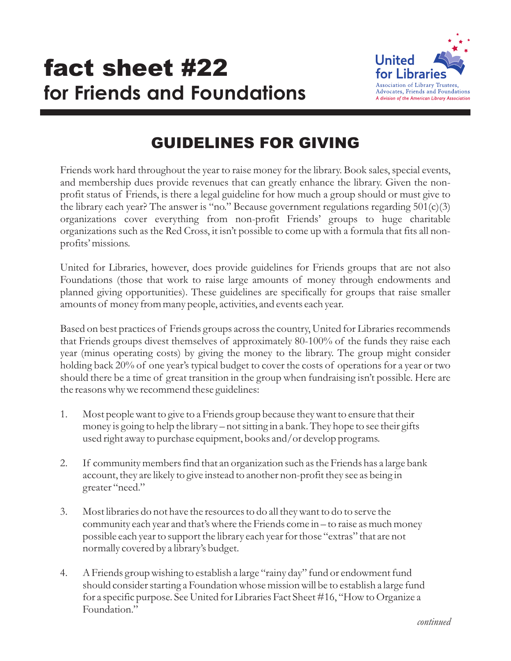## **for Friends and Foundations fact sheet #22** United for Libraries



## GUIDELINES FOR GIVING

Friends work hard throughout the year to raise money for the library. Book sales, special events, and membership dues provide revenues that can greatly enhance the library. Given the nonprofit status of Friends, is there a legal guideline for how much a group should or must give to the library each year? The answer is "no." Because government regulations regarding  $501(c)(3)$ organizations cover everything from non-profit Friends' groups to huge charitable organizations such as the Red Cross, it isn't possible to come up with a formula that fits all nonprofits' missions.

United for Libraries, however, does provide guidelines for Friends groups that are not also Foundations (those that work to raise large amounts of money through endowments and planned giving opportunities). These guidelines are specifically for groups that raise smaller amounts of money from many people, activities, and events each year.

Based on best practices of Friends groups across the country, United for Libraries recommends that Friends groups divest themselves of approximately 80-100% of the funds they raise each year (minus operating costs) by giving the money to the library. The group might consider holding back 20% of one year's typical budget to cover the costs of operations for a year or two should there be a time of great transition in the group when fundraising isn't possible. Here are the reasons why we recommend these guidelines:

- 1. Most people want to give to a Friends group because they want to ensure that their money is going to help the library – not sitting in a bank. They hope to see their gifts used right away to purchase equipment, books and/or develop programs.
- 2. If community members find that an organization such as the Friends has a large bank account, they are likely to give instead to another non-profit they see as being in greater "need."
- 3. Most libraries do not have the resources to do all they want to do to serve the community each year and that's where the Friends come in – to raise as much money possible each year to support the library each year for those "extras" that are not normally covered by a library's budget.
- 4. A Friends group wishing to establish a large "rainy day" fund or endowment fund should consider starting a Foundation whose mission will be to establish a large fund for a specific purpose. See United for Libraries Fact Sheet #16, "How to Organize a Foundation."